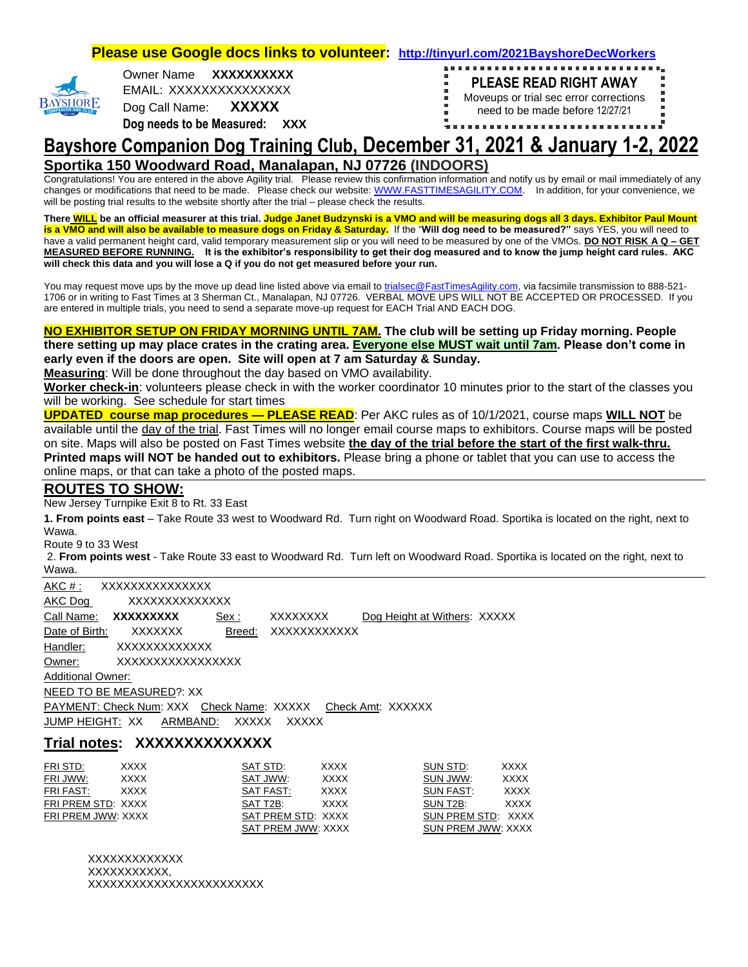**Please use Google docs links to volunteer: <http://tinyurl.com/2021BayshoreDecWorkers>**

| O<br>۲<br>OG CI<br>PAN<br>COM<br>F |  |
|------------------------------------|--|

Owner Name **XXXXXXXXXX**  EMAIL: XXXXXXXXXXXXXXX

Dog Call Name: **XXXXX**

**Dog needs to be Measured: XXX**



## **Bayshore Companion Dog Training Club, December 31, 2021 & January 1-2, 2022 Sportika 150 Woodward Road, Manalapan, NJ 07726 (INDOORS)**

Congratulations! You are entered in the above Agility trial. Please review this confirmation information and notify us by email or mail immediately of any changes or modifications that need to be made. Please check our website[: WWW.FASTTIMESAGILITY.COM.](http://www.fasttimesagility.com/) In addition, for your convenience, we will be posting trial results to the website shortly after the trial – please check the results.

**There WILL be an official measurer at this trial. Judge Janet Budzynski is a VMO and will be measuring dogs all 3 days. Exhibitor Paul Mount is a VMO and will also be available to measure dogs on Friday & Saturday.** If the "**Will dog need to be measured?"** says YES, you will need to have a valid permanent height card, valid temporary measurement slip or you will need to be measured by one of the VMOs. **DO NOT RISK A Q – GET MEASURED BEFORE RUNNING. It is the exhibitor's responsibility to get their dog measured and to know the jump height card rules. AKC will check this data and you will lose a Q if you do not get measured before your run.** 

You may request move ups by the move up dead line listed above via email to [trialsec@FastTimesAgility.com,](mailto:trialsec@FastTimesAgility.com) via facsimile transmission to 888-521-1706 or in writing to Fast Times at 3 Sherman Ct., Manalapan, NJ 07726. VERBAL MOVE UPS WILL NOT BE ACCEPTED OR PROCESSED. If you are entered in multiple trials, you need to send a separate move-up request for EACH Trial AND EACH DOG.

#### **NO EXHIBITOR SETUP ON FRIDAY MORNING UNTIL 7AM. The club will be setting up Friday morning. People there setting up may place crates in the crating area. Everyone else MUST wait until 7am. Please don't come in early even if the doors are open. Site will open at 7 am Saturday & Sunday.**

**Measuring**: Will be done throughout the day based on VMO availability.

**Worker check-in**: volunteers please check in with the worker coordinator 10 minutes prior to the start of the classes you will be working. See schedule for start times

**UPDATED course map procedures — PLEASE READ**: Per AKC rules as of 10/1/2021, course maps **WILL NOT** be available until the day of the trial. Fast Times will no longer email course maps to exhibitors. Course maps will be posted on site. Maps will also be posted on Fast Times website **the day of the trial before the start of the first walk-thru. Printed maps will NOT be handed out to exhibitors.** Please bring a phone or tablet that you can use to access the online maps, or that can take a photo of the posted maps.

## **ROUTES TO SHOW:**

New Jersey Turnpike Exit 8 to Rt. 33 East

**1. From points east** – Take Route 33 west to Woodward Rd. Turn right on Woodward Road. Sportika is located on the right, next to Wawa.

Route 9 to 33 West

2. **From points west** - Take Route 33 east to Woodward Rd. Turn left on Woodward Road. Sportika is located on the right, next to Wawa.

|                          | AKC #: XXXXXXXXXXXXXX                                       |              |              |                              |  |
|--------------------------|-------------------------------------------------------------|--------------|--------------|------------------------------|--|
| AKC Dog                  | XXXXXXXXXXXXXX                                              |              |              |                              |  |
| Call Name:               | XXXXXXXXX                                                   | Sex:         | XXXXXXXX     | Dog Height at Withers: XXXXX |  |
| Date of Birth:           | XXXXXXX                                                     | Breed:       | XXXXXXXXXXXX |                              |  |
| Handler:                 | XXXXXXXXXXXXX                                               |              |              |                              |  |
| Owner:                   | XXXXXXXXXXXXXXXXX                                           |              |              |                              |  |
| <b>Additional Owner:</b> |                                                             |              |              |                              |  |
|                          | NEED TO BE MEASURED?: XX                                    |              |              |                              |  |
|                          | PAYMENT: Check Num: XXX Check Name: XXXXX Check Amt: XXXXXX |              |              |                              |  |
|                          | JUMP HEIGHT: XX ARMBAND:                                    | <b>XXXXX</b> | <b>XXXXX</b> |                              |  |

### **Trial notes: XXXXXXXXXXXXXX**

| FRI STD:           | <b>XXXX</b> | SAT STD:           | <b>XXXX</b> | SUN STD:                  | <b>XXXX</b> |
|--------------------|-------------|--------------------|-------------|---------------------------|-------------|
| FRI JWW:           | <b>XXXX</b> | SAT JWW:           | <b>XXXX</b> | SUN JWW:                  | <b>XXXX</b> |
| FRI FAST:          | <b>XXXX</b> | SAT FAST:          | <b>XXXX</b> | SUN FAST:                 | <b>XXXX</b> |
| FRI PREM STD: XXXX |             | SAT T2B:           | <b>XXXX</b> | SUN T2B:                  | <b>XXXX</b> |
| FRI PREM JWW: XXXX |             | SAT PREM STD: XXXX |             | SUN PREM STD: XXXX        |             |
|                    |             | SAT PREM JWW: XXXX |             | <b>SUN PREM JWW: XXXX</b> |             |

XXXXXXXXXXXXX XXXXXXXXXXX. XXXXXXXXXXXXXXXXXXXXXXXX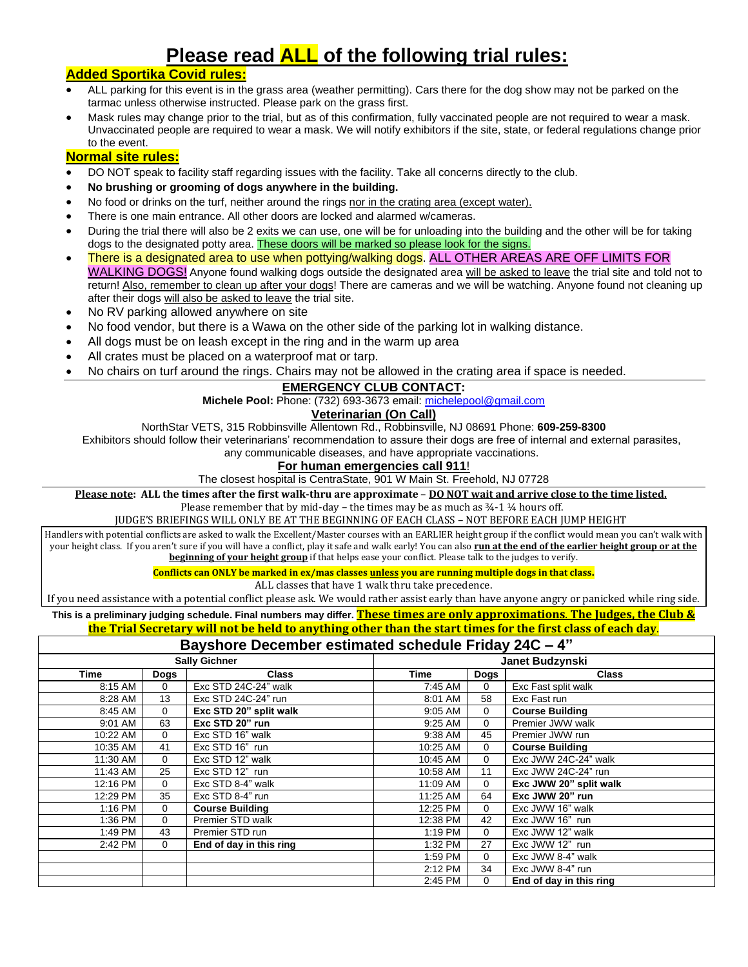# **Please read ALL of the following trial rules:**

## **Added Sportika Covid rules:**

- ALL parking for this event is in the grass area (weather permitting). Cars there for the dog show may not be parked on the tarmac unless otherwise instructed. Please park on the grass first.
- Mask rules may change prior to the trial, but as of this confirmation, fully vaccinated people are not required to wear a mask. Unvaccinated people are required to wear a mask. We will notify exhibitors if the site, state, or federal regulations change prior to the event.

## **Normal site rules:**

- DO NOT speak to facility staff regarding issues with the facility. Take all concerns directly to the club.
- **No brushing or grooming of dogs anywhere in the building.**
- No food or drinks on the turf, neither around the rings nor in the crating area (except water).
- There is one main entrance. All other doors are locked and alarmed w/cameras.
- During the trial there will also be 2 exits we can use, one will be for unloading into the building and the other will be for taking dogs to the designated potty area. These doors will be marked so please look for the signs.
- There is a designated area to use when pottying/walking dogs. ALL OTHER AREAS ARE OFF LIMITS FOR WALKING DOGS! Anyone found walking dogs outside the designated area will be asked to leave the trial site and told not to return! Also, remember to clean up after your dogs! There are cameras and we will be watching. Anyone found not cleaning up after their dogs will also be asked to leave the trial site.
- No RV parking allowed anywhere on site
- No food vendor, but there is a Wawa on the other side of the parking lot in walking distance.
- All dogs must be on leash except in the ring and in the warm up area
- All crates must be placed on a waterproof mat or tarp.
- No chairs on turf around the rings. Chairs may not be allowed in the crating area if space is needed.

#### **EMERGENCY CLUB CONTACT:**

**Michele Pool:** Phone: (732) 693-3673 email: [michelepool@gmail.com](mailto:michelepool@gmail.com)

#### **Veterinarian (On Call)**

NorthStar VETS, 315 Robbinsville Allentown Rd., Robbinsville, NJ 08691 Phone: **609-259-8300**

Exhibitors should follow their veterinarians' recommendation to assure their dogs are free of internal and external parasites,

any communicable diseases, and have appropriate vaccinations.

#### **For human emergencies call 911**!

#### The closest hospital is CentraState, 901 W Main St. Freehold, NJ 07728

**Please note: ALL the times after the first walk-thru are approximate** – **DO NOT wait and arrive close to the time listed.** 

Please remember that by mid-day – the times may be as much as  $\frac{3}{4}$ -1  $\frac{1}{4}$  hours off.

JUDGE'S BRIEFINGS WILL ONLY BE AT THE BEGINNING OF EACH CLASS – NOT BEFORE EACH JUMP HEIGHT

Handlers with potential conflicts are asked to walk the Excellent/Master courses with an EARLIER height group if the conflict would mean you can't walk with your height class. If you aren't sure if you will have a conflict, play it safe and walk early! You can also **run at the end of the earlier height group or at the beginning of your height group** if that helps ease your conflict. Please talk to the judges to verify.

**Conflicts can ONLY be marked in ex/mas classes unless you are running multiple dogs in that class.** 

ALL classes that have 1 walk thru take precedence.

If you need assistance with a potential conflict please ask. We would rather assist early than have anyone angry or panicked while ring side.

**This is a preliminary judging schedule. Final numbers may differ. These times are only approximations**. **The Judges, the Club &** 

#### **the Trial Secretary will not be held to anything other than the start times for the first class of each day**.

## **Bayshore December estimated schedule Friday 24C – 4"**

| <b>Sally Gichner</b> |              | Janet Budzynski         |          |             |                         |
|----------------------|--------------|-------------------------|----------|-------------|-------------------------|
| <b>Time</b>          | Dogs         | <b>Class</b>            | Time     | Dogs        | <b>Class</b>            |
| 8:15 AM              | $\Omega$     | Exc STD 24C-24" walk    | 7:45 AM  | $\mathbf 0$ | Exc Fast split walk     |
| 8:28 AM              | 13           | Exc STD 24C-24" run     | 8:01 AM  | 58          | Exc Fast run            |
| 8:45 AM              | $\Omega$     | Exc STD 20" split walk  | 9:05 AM  | 0           | <b>Course Building</b>  |
| 9:01 AM              | 63           | Exc STD 20" run         | 9:25 AM  | 0           | Premier JWW walk        |
| 10:22 AM             | $\mathbf{0}$ | Exc STD 16" walk        | 9:38 AM  | 45          | Premier JWW run         |
| 10:35 AM             | 41           | Exc STD 16" run         | 10:25 AM | 0           | <b>Course Building</b>  |
| 11:30 AM             | $\Omega$     | Exc STD 12" walk        | 10:45 AM | $\mathbf 0$ | Exc JWW 24C-24" walk    |
| 11:43 AM             | 25           | Exc STD 12" run         | 10:58 AM | 11          | Exc JWW 24C-24" run     |
| 12:16 PM             | $\Omega$     | Exc STD 8-4" walk       | 11:09 AM | $\Omega$    | Exc JWW 20" split walk  |
| 12:29 PM             | 35           | Exc STD 8-4" run        | 11:25 AM | 64          | Exc JWW 20" run         |
| 1:16 PM              | $\mathbf{0}$ | <b>Course Building</b>  | 12:25 PM | $\mathbf 0$ | Exc JWW 16" walk        |
| 1:36 PM              | $\Omega$     | Premier STD walk        | 12:38 PM | 42          | Exc JWW 16" run         |
| 1:49 PM              | 43           | Premier STD run         | 1:19 PM  | $\Omega$    | Exc JWW 12" walk        |
| 2:42 PM              | 0            | End of day in this ring | 1:32 PM  | 27          | Exc JWW 12" run         |
|                      |              |                         | 1:59 PM  | $\Omega$    | Exc JWW 8-4" walk       |
|                      |              |                         | 2:12 PM  | 34          | Exc JWW 8-4" run        |
|                      |              |                         | 2:45 PM  | $\Omega$    | End of day in this ring |